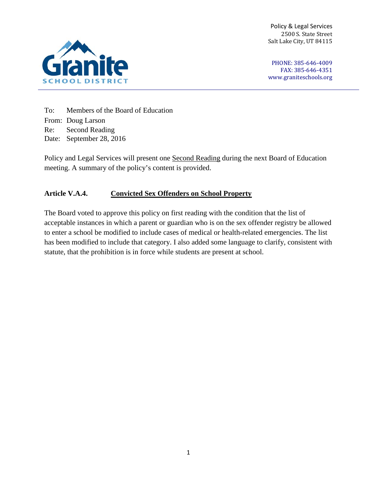Policy & Legal Services 2500 S. State Street Salt Lake City, UT 84115



PHONE: 385-646-4009 FAX: 385-646-4351 [www.graniteschools.org](http://www.graniteschools.org/)

To: Members of the Board of Education From: Doug Larson Re: Second Reading Date: September 28, 2016

Policy and Legal Services will present one Second Reading during the next Board of Education meeting. A summary of the policy's content is provided.

## **Article V.A.4. Convicted Sex Offenders on School Property**

The Board voted to approve this policy on first reading with the condition that the list of acceptable instances in which a parent or guardian who is on the sex offender registry be allowed to enter a school be modified to include cases of medical or health-related emergencies. The list has been modified to include that category. I also added some language to clarify, consistent with statute, that the prohibition is in force while students are present at school.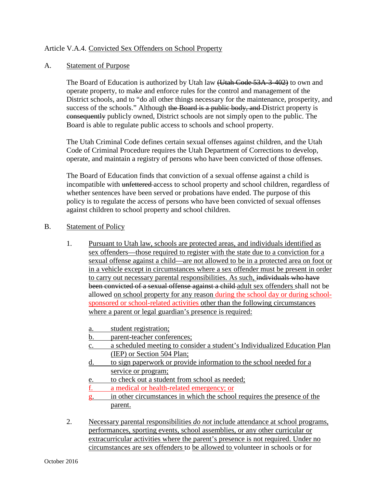## Article V.A.4. Convicted Sex Offenders on School Property

## A. Statement of Purpose

The Board of Education is authorized by Utah law (Utah Code 53A-3-402) to own and operate property, to make and enforce rules for the control and management of the District schools, and to "do all other things necessary for the maintenance, prosperity, and success of the schools." Although the Board is a public body, and District property is consequently publicly owned, District schools are not simply open to the public. The Board is able to regulate public access to schools and school property.

The Utah Criminal Code defines certain sexual offenses against children, and the Utah Code of Criminal Procedure requires the Utah Department of Corrections to develop, operate, and maintain a registry of persons who have been convicted of those offenses.

The Board of Education finds that conviction of a sexual offense against a child is incompatible with unfettered access to school property and school children, regardless of whether sentences have been served or probations have ended. The purpose of this policy is to regulate the access of persons who have been convicted of sexual offenses against children to school property and school children.

## B. Statement of Policy

- 1. Pursuant to Utah law, schools are protected areas, and individuals identified as sex offenders—those required to register with the state due to a conviction for a sexual offense against a child—are not allowed to be in a protected area on foot or in a vehicle except in circumstances where a sex offender must be present in order to carry out necessary parental responsibilities. As such, individuals who have been convicted of a sexual offense against a child adult sex offenders shall not be allowed on school property for any reason during the school day or during schoolsponsored or school-related activities other than the following circumstances where a parent or legal guardian's presence is required:
	- a. student registration;
	- b. parent-teacher conferences;
	- c. a scheduled meeting to consider a student's Individualized Education Plan (IEP) or Section 504 Plan;
	- d. to sign paperwork or provide information to the school needed for a service or program;
	- e. to check out a student from school as needed;
	- f. a medical or health-related emergency; or
	- g. in other circumstances in which the school requires the presence of the parent.
- 2. Necessary parental responsibilities *do not* include attendance at school programs, performances, sporting events, school assemblies, or any other curricular or extracurricular activities where the parent's presence is not required. Under no circumstances are sex offenders to be allowed to volunteer in schools or for